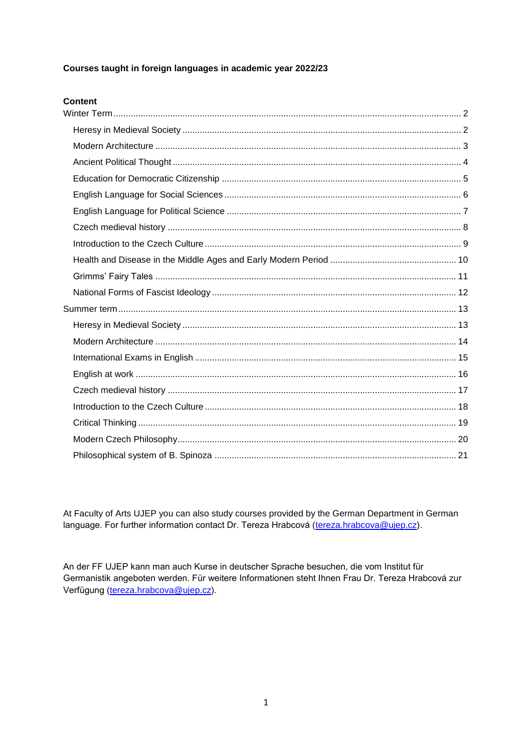## Courses taught in foreign languages in academic year 2022/23

## **Content**

At Faculty of Arts UJEP you can also study courses provided by the German Department in German language. For further information contact Dr. Tereza Hrabcová (tereza.hrabcova@ujep.cz).

An der FF UJEP kann man auch Kurse in deutscher Sprache besuchen, die vom Institut für Germanistik angeboten werden. Für weitere Informationen steht Ihnen Frau Dr. Tereza Hrabcová zur Verfügung (tereza.hrabcova@ujep.cz).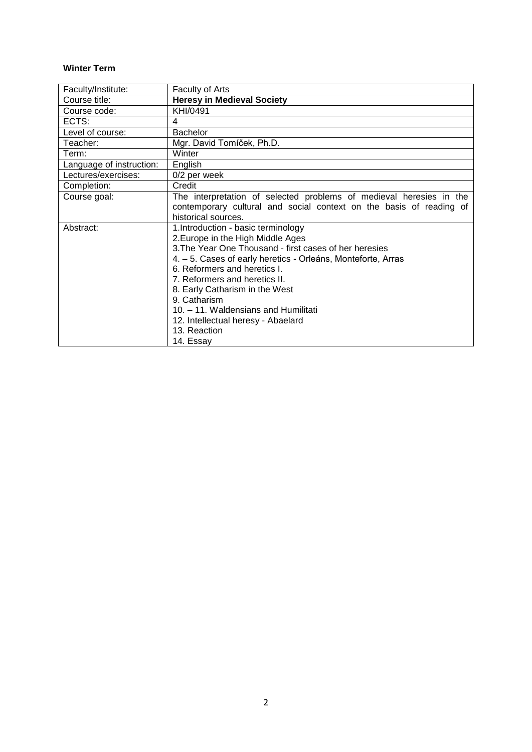## <span id="page-1-0"></span>**Winter Term**

<span id="page-1-1"></span>

| Faculty/Institute:       | Faculty of Arts                                                                                                                                                                                                                                                                                                                                                                                                                  |
|--------------------------|----------------------------------------------------------------------------------------------------------------------------------------------------------------------------------------------------------------------------------------------------------------------------------------------------------------------------------------------------------------------------------------------------------------------------------|
| Course title:            | <b>Heresy in Medieval Society</b>                                                                                                                                                                                                                                                                                                                                                                                                |
| Course code:             | KHI/0491                                                                                                                                                                                                                                                                                                                                                                                                                         |
| ECTS:                    | 4                                                                                                                                                                                                                                                                                                                                                                                                                                |
| Level of course:         | Bachelor                                                                                                                                                                                                                                                                                                                                                                                                                         |
| Teacher:                 | Mgr. David Tomíček, Ph.D.                                                                                                                                                                                                                                                                                                                                                                                                        |
| Term:                    | Winter                                                                                                                                                                                                                                                                                                                                                                                                                           |
| Language of instruction: | English                                                                                                                                                                                                                                                                                                                                                                                                                          |
| Lectures/exercises:      | 0/2 per week                                                                                                                                                                                                                                                                                                                                                                                                                     |
| Completion:              | Credit                                                                                                                                                                                                                                                                                                                                                                                                                           |
| Course goal:             | The interpretation of selected problems of medieval heresies in the<br>contemporary cultural and social context on the basis of reading of<br>historical sources.                                                                                                                                                                                                                                                                |
| Abstract:                | 1. Introduction - basic terminology<br>2. Europe in the High Middle Ages<br>3. The Year One Thousand - first cases of her heresies<br>4. - 5. Cases of early heretics - Orleáns, Monteforte, Arras<br>6. Reformers and heretics I.<br>7. Reformers and heretics II.<br>8. Early Catharism in the West<br>9. Catharism<br>10. - 11. Waldensians and Humilitati<br>12. Intellectual heresy - Abaelard<br>13. Reaction<br>14. Essay |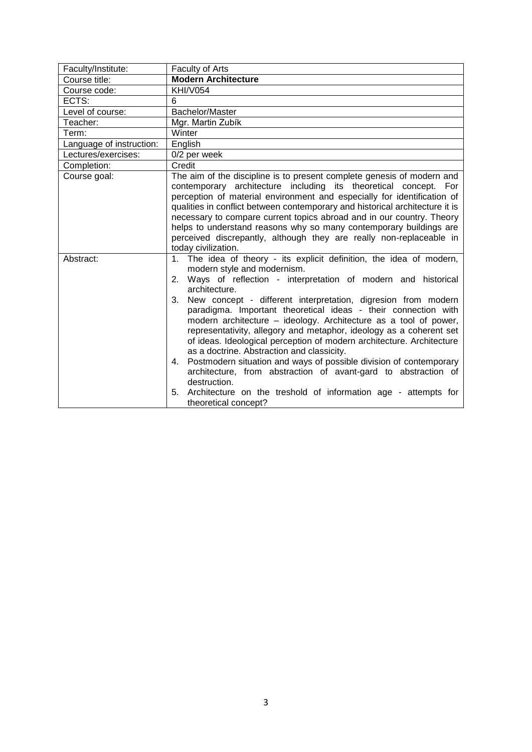<span id="page-2-0"></span>

| Faculty/Institute:       | Faculty of Arts                                                                                                                                                                                                                                                                                                                                                                                                                                                                                                                                                                                                                                                                                                                                                                                                                                                     |
|--------------------------|---------------------------------------------------------------------------------------------------------------------------------------------------------------------------------------------------------------------------------------------------------------------------------------------------------------------------------------------------------------------------------------------------------------------------------------------------------------------------------------------------------------------------------------------------------------------------------------------------------------------------------------------------------------------------------------------------------------------------------------------------------------------------------------------------------------------------------------------------------------------|
| Course title:            | <b>Modern Architecture</b>                                                                                                                                                                                                                                                                                                                                                                                                                                                                                                                                                                                                                                                                                                                                                                                                                                          |
| Course code:             | <b>KHI/V054</b>                                                                                                                                                                                                                                                                                                                                                                                                                                                                                                                                                                                                                                                                                                                                                                                                                                                     |
| ECTS:                    | 6                                                                                                                                                                                                                                                                                                                                                                                                                                                                                                                                                                                                                                                                                                                                                                                                                                                                   |
| Level of course:         | Bachelor/Master                                                                                                                                                                                                                                                                                                                                                                                                                                                                                                                                                                                                                                                                                                                                                                                                                                                     |
| Teacher:                 | Mgr. Martin Zubík                                                                                                                                                                                                                                                                                                                                                                                                                                                                                                                                                                                                                                                                                                                                                                                                                                                   |
| Term:                    | Winter                                                                                                                                                                                                                                                                                                                                                                                                                                                                                                                                                                                                                                                                                                                                                                                                                                                              |
| Language of instruction: | English                                                                                                                                                                                                                                                                                                                                                                                                                                                                                                                                                                                                                                                                                                                                                                                                                                                             |
| Lectures/exercises:      | 0/2 per week                                                                                                                                                                                                                                                                                                                                                                                                                                                                                                                                                                                                                                                                                                                                                                                                                                                        |
| Completion:              | Credit                                                                                                                                                                                                                                                                                                                                                                                                                                                                                                                                                                                                                                                                                                                                                                                                                                                              |
| Course goal:             | The aim of the discipline is to present complete genesis of modern and<br>contemporary architecture including its theoretical concept. For<br>perception of material environment and especially for identification of<br>qualities in conflict between contemporary and historical architecture it is<br>necessary to compare current topics abroad and in our country. Theory<br>helps to understand reasons why so many contemporary buildings are<br>perceived discrepantly, although they are really non-replaceable in<br>today civilization.                                                                                                                                                                                                                                                                                                                  |
| Abstract:                | 1. The idea of theory - its explicit definition, the idea of modern,<br>modern style and modernism.<br>Ways of reflection - interpretation of modern and historical<br>2.<br>architecture.<br>3.<br>New concept - different interpretation, digresion from modern<br>paradigma. Important theoretical ideas - their connection with<br>modern architecture - ideology. Architecture as a tool of power,<br>representativity, allegory and metaphor, ideology as a coherent set<br>of ideas. Ideological perception of modern architecture. Architecture<br>as a doctrine. Abstraction and classicity.<br>Postmodern situation and ways of possible division of contemporary<br>4.<br>architecture, from abstraction of avant-gard to abstraction of<br>destruction.<br>5.<br>Architecture on the treshold of information age - attempts for<br>theoretical concept? |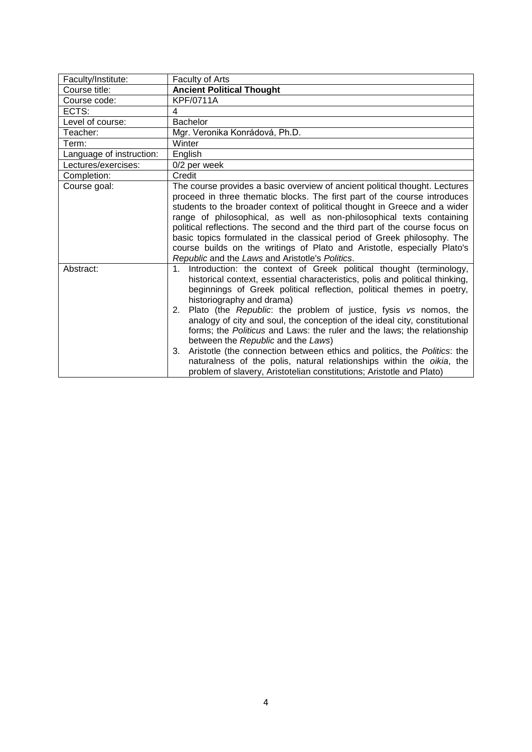<span id="page-3-0"></span>

| Faculty/Institute:       | Faculty of Arts                                                                                                                                                                                                                                                                                                                                                                                                                                                                                                                                                                                                                                                                                                                                                                     |
|--------------------------|-------------------------------------------------------------------------------------------------------------------------------------------------------------------------------------------------------------------------------------------------------------------------------------------------------------------------------------------------------------------------------------------------------------------------------------------------------------------------------------------------------------------------------------------------------------------------------------------------------------------------------------------------------------------------------------------------------------------------------------------------------------------------------------|
| Course title:            | <b>Ancient Political Thought</b>                                                                                                                                                                                                                                                                                                                                                                                                                                                                                                                                                                                                                                                                                                                                                    |
| Course code:             | <b>KPF/0711A</b>                                                                                                                                                                                                                                                                                                                                                                                                                                                                                                                                                                                                                                                                                                                                                                    |
| ECTS:                    | 4                                                                                                                                                                                                                                                                                                                                                                                                                                                                                                                                                                                                                                                                                                                                                                                   |
| Level of course:         | <b>Bachelor</b>                                                                                                                                                                                                                                                                                                                                                                                                                                                                                                                                                                                                                                                                                                                                                                     |
| Teacher:                 | Mgr. Veronika Konrádová, Ph.D.                                                                                                                                                                                                                                                                                                                                                                                                                                                                                                                                                                                                                                                                                                                                                      |
| Term:                    | Winter                                                                                                                                                                                                                                                                                                                                                                                                                                                                                                                                                                                                                                                                                                                                                                              |
| Language of instruction: | English                                                                                                                                                                                                                                                                                                                                                                                                                                                                                                                                                                                                                                                                                                                                                                             |
| Lectures/exercises:      | 0/2 per week                                                                                                                                                                                                                                                                                                                                                                                                                                                                                                                                                                                                                                                                                                                                                                        |
| Completion:              | Credit                                                                                                                                                                                                                                                                                                                                                                                                                                                                                                                                                                                                                                                                                                                                                                              |
| Course goal:             | The course provides a basic overview of ancient political thought. Lectures<br>proceed in three thematic blocks. The first part of the course introduces<br>students to the broader context of political thought in Greece and a wider<br>range of philosophical, as well as non-philosophical texts containing<br>political reflections. The second and the third part of the course focus on<br>basic topics formulated in the classical period of Greek philosophy. The<br>course builds on the writings of Plato and Aristotle, especially Plato's<br>Republic and the Laws and Aristotle's Politics.                                                                                                                                                                           |
| Abstract:                | Introduction: the context of Greek political thought (terminology,<br>$1_{\cdot}$<br>historical context, essential characteristics, polis and political thinking,<br>beginnings of Greek political reflection, political themes in poetry,<br>historiography and drama)<br>Plato (the Republic: the problem of justice, fysis vs nomos, the<br>2.<br>analogy of city and soul, the conception of the ideal city, constitutional<br>forms; the Politicus and Laws: the ruler and the laws; the relationship<br>between the Republic and the Laws)<br>Aristotle (the connection between ethics and politics, the Politics: the<br>3.<br>naturalness of the polis, natural relationships within the oikia, the<br>problem of slavery, Aristotelian constitutions; Aristotle and Plato) |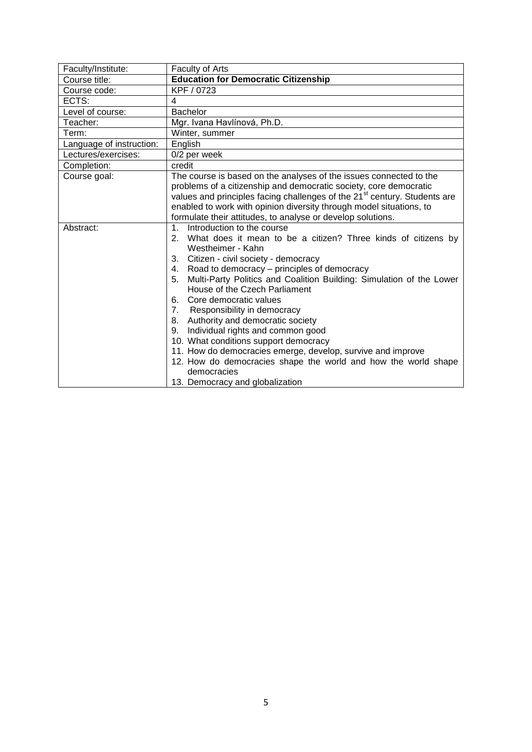<span id="page-4-0"></span>

| Faculty/Institute:       | Faculty of Arts                                                                                                                                                                                                                                                                                                                                                                                                                                                                                                                                                                                                                                                                                                                          |
|--------------------------|------------------------------------------------------------------------------------------------------------------------------------------------------------------------------------------------------------------------------------------------------------------------------------------------------------------------------------------------------------------------------------------------------------------------------------------------------------------------------------------------------------------------------------------------------------------------------------------------------------------------------------------------------------------------------------------------------------------------------------------|
| Course title:            | <b>Education for Democratic Citizenship</b>                                                                                                                                                                                                                                                                                                                                                                                                                                                                                                                                                                                                                                                                                              |
| Course code:             | KPF / 0723                                                                                                                                                                                                                                                                                                                                                                                                                                                                                                                                                                                                                                                                                                                               |
| ECTS:                    | 4                                                                                                                                                                                                                                                                                                                                                                                                                                                                                                                                                                                                                                                                                                                                        |
| Level of course:         | <b>Bachelor</b>                                                                                                                                                                                                                                                                                                                                                                                                                                                                                                                                                                                                                                                                                                                          |
| Teacher:                 | Mgr. Ivana Havlínová, Ph.D.                                                                                                                                                                                                                                                                                                                                                                                                                                                                                                                                                                                                                                                                                                              |
| Term:                    | Winter, summer                                                                                                                                                                                                                                                                                                                                                                                                                                                                                                                                                                                                                                                                                                                           |
| Language of instruction: | English                                                                                                                                                                                                                                                                                                                                                                                                                                                                                                                                                                                                                                                                                                                                  |
| Lectures/exercises:      | 0/2 per week                                                                                                                                                                                                                                                                                                                                                                                                                                                                                                                                                                                                                                                                                                                             |
| Completion:              | credit                                                                                                                                                                                                                                                                                                                                                                                                                                                                                                                                                                                                                                                                                                                                   |
| Course goal:             | The course is based on the analyses of the issues connected to the<br>problems of a citizenship and democratic society, core democratic<br>values and principles facing challenges of the 21 <sup>st</sup> century. Students are<br>enabled to work with opinion diversity through model situations, to<br>formulate their attitudes, to analyse or develop solutions.                                                                                                                                                                                                                                                                                                                                                                   |
| Abstract:                | Introduction to the course<br>$1_{-}$<br>2.<br>What does it mean to be a citizen? Three kinds of citizens by<br>Westheimer - Kahn<br>Citizen - civil society - democracy<br>3.<br>Road to democracy - principles of democracy<br>4.<br>Multi-Party Politics and Coalition Building: Simulation of the Lower<br>5.<br>House of the Czech Parliament<br>Core democratic values<br>6.<br>Responsibility in democracy<br>7.<br>Authority and democratic society<br>8.<br>Individual rights and common good<br>9.<br>10. What conditions support democracy<br>11. How do democracies emerge, develop, survive and improve<br>12. How do democracies shape the world and how the world shape<br>democracies<br>13. Democracy and globalization |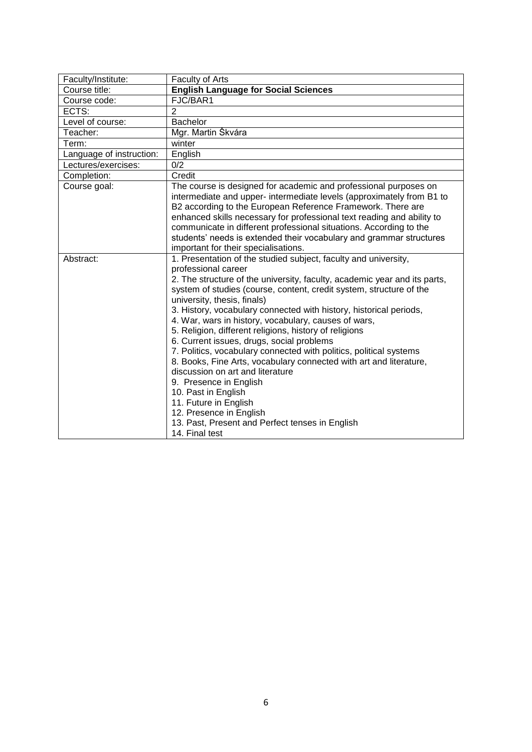<span id="page-5-0"></span>

| Faculty/Institute:       | Faculty of Arts                                                                                                                                                                                                                                                                                                                                                                                                                                                                                                                                                                                                                                                                                                                                                                                                                                                          |
|--------------------------|--------------------------------------------------------------------------------------------------------------------------------------------------------------------------------------------------------------------------------------------------------------------------------------------------------------------------------------------------------------------------------------------------------------------------------------------------------------------------------------------------------------------------------------------------------------------------------------------------------------------------------------------------------------------------------------------------------------------------------------------------------------------------------------------------------------------------------------------------------------------------|
| Course title:            | <b>English Language for Social Sciences</b>                                                                                                                                                                                                                                                                                                                                                                                                                                                                                                                                                                                                                                                                                                                                                                                                                              |
| Course code:             | FJC/BAR1                                                                                                                                                                                                                                                                                                                                                                                                                                                                                                                                                                                                                                                                                                                                                                                                                                                                 |
| ECTS:                    | $\overline{2}$                                                                                                                                                                                                                                                                                                                                                                                                                                                                                                                                                                                                                                                                                                                                                                                                                                                           |
| Level of course:         | <b>Bachelor</b>                                                                                                                                                                                                                                                                                                                                                                                                                                                                                                                                                                                                                                                                                                                                                                                                                                                          |
| Teacher:                 | Mgr. Martin Škvára                                                                                                                                                                                                                                                                                                                                                                                                                                                                                                                                                                                                                                                                                                                                                                                                                                                       |
| Term:                    | winter                                                                                                                                                                                                                                                                                                                                                                                                                                                                                                                                                                                                                                                                                                                                                                                                                                                                   |
| Language of instruction: | English                                                                                                                                                                                                                                                                                                                                                                                                                                                                                                                                                                                                                                                                                                                                                                                                                                                                  |
| Lectures/exercises:      | 0/2                                                                                                                                                                                                                                                                                                                                                                                                                                                                                                                                                                                                                                                                                                                                                                                                                                                                      |
| Completion:              | Credit                                                                                                                                                                                                                                                                                                                                                                                                                                                                                                                                                                                                                                                                                                                                                                                                                                                                   |
| Course goal:             | The course is designed for academic and professional purposes on<br>intermediate and upper-intermediate levels (approximately from B1 to<br>B2 according to the European Reference Framework. There are<br>enhanced skills necessary for professional text reading and ability to<br>communicate in different professional situations. According to the<br>students' needs is extended their vocabulary and grammar structures<br>important for their specialisations.                                                                                                                                                                                                                                                                                                                                                                                                   |
| Abstract:                | 1. Presentation of the studied subject, faculty and university,<br>professional career<br>2. The structure of the university, faculty, academic year and its parts,<br>system of studies (course, content, credit system, structure of the<br>university, thesis, finals)<br>3. History, vocabulary connected with history, historical periods,<br>4. War, wars in history, vocabulary, causes of wars,<br>5. Religion, different religions, history of religions<br>6. Current issues, drugs, social problems<br>7. Politics, vocabulary connected with politics, political systems<br>8. Books, Fine Arts, vocabulary connected with art and literature,<br>discussion on art and literature<br>9. Presence in English<br>10. Past in English<br>11. Future in English<br>12. Presence in English<br>13. Past, Present and Perfect tenses in English<br>14. Final test |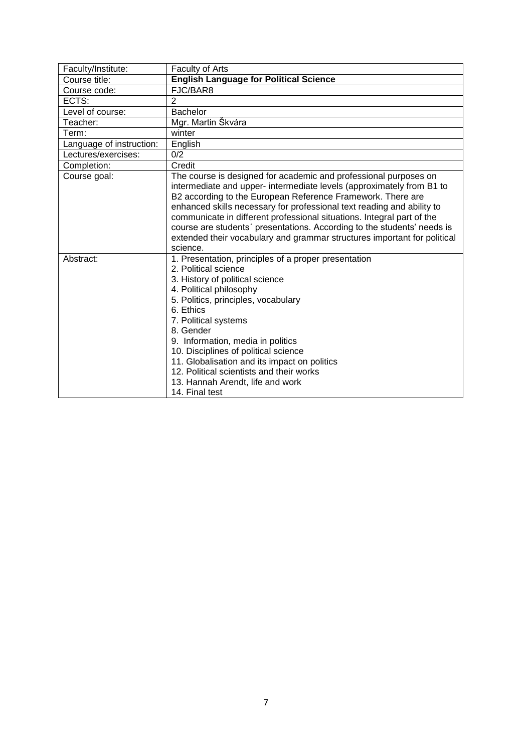<span id="page-6-0"></span>

| Faculty/Institute:       | Faculty of Arts                                                                                                                                                                                                                                                                                                                                                                                                                                                                                                                 |
|--------------------------|---------------------------------------------------------------------------------------------------------------------------------------------------------------------------------------------------------------------------------------------------------------------------------------------------------------------------------------------------------------------------------------------------------------------------------------------------------------------------------------------------------------------------------|
| Course title:            | <b>English Language for Political Science</b>                                                                                                                                                                                                                                                                                                                                                                                                                                                                                   |
| Course code:             | FJC/BAR8                                                                                                                                                                                                                                                                                                                                                                                                                                                                                                                        |
| ECTS:                    | 2                                                                                                                                                                                                                                                                                                                                                                                                                                                                                                                               |
| Level of course:         | <b>Bachelor</b>                                                                                                                                                                                                                                                                                                                                                                                                                                                                                                                 |
| Teacher:                 | Mgr. Martin Škvára                                                                                                                                                                                                                                                                                                                                                                                                                                                                                                              |
| Term:                    | winter                                                                                                                                                                                                                                                                                                                                                                                                                                                                                                                          |
| Language of instruction: | English                                                                                                                                                                                                                                                                                                                                                                                                                                                                                                                         |
| Lectures/exercises:      | 0/2                                                                                                                                                                                                                                                                                                                                                                                                                                                                                                                             |
| Completion:              | Credit                                                                                                                                                                                                                                                                                                                                                                                                                                                                                                                          |
| Course goal:             | The course is designed for academic and professional purposes on<br>intermediate and upper- intermediate levels (approximately from B1 to<br>B2 according to the European Reference Framework. There are<br>enhanced skills necessary for professional text reading and ability to<br>communicate in different professional situations. Integral part of the<br>course are students' presentations. According to the students' needs is<br>extended their vocabulary and grammar structures important for political<br>science. |
| Abstract:                | 1. Presentation, principles of a proper presentation<br>2. Political science<br>3. History of political science<br>4. Political philosophy<br>5. Politics, principles, vocabulary<br>6. Ethics<br>7. Political systems<br>8. Gender<br>9. Information, media in politics<br>10. Disciplines of political science<br>11. Globalisation and its impact on politics<br>12. Political scientists and their works<br>13. Hannah Arendt, life and work<br>14. Final test                                                              |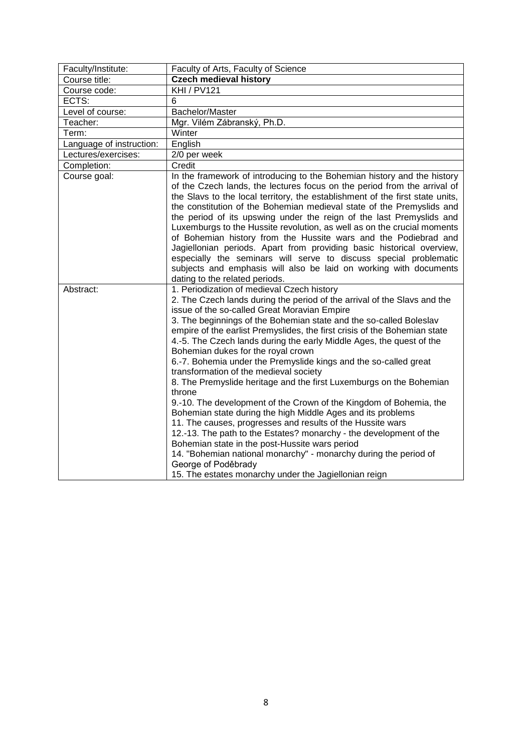<span id="page-7-0"></span>

| Faculty/Institute:       | Faculty of Arts, Faculty of Science                                                                                                                                                                                                                                                                                                                                                                                                                                                                                                                                                                                                                                                                                                                                                                                                                                                                                                                                                                                                                                                                                   |
|--------------------------|-----------------------------------------------------------------------------------------------------------------------------------------------------------------------------------------------------------------------------------------------------------------------------------------------------------------------------------------------------------------------------------------------------------------------------------------------------------------------------------------------------------------------------------------------------------------------------------------------------------------------------------------------------------------------------------------------------------------------------------------------------------------------------------------------------------------------------------------------------------------------------------------------------------------------------------------------------------------------------------------------------------------------------------------------------------------------------------------------------------------------|
| Course title:            | <b>Czech medieval history</b>                                                                                                                                                                                                                                                                                                                                                                                                                                                                                                                                                                                                                                                                                                                                                                                                                                                                                                                                                                                                                                                                                         |
| Course code:             | <b>KHI / PV121</b>                                                                                                                                                                                                                                                                                                                                                                                                                                                                                                                                                                                                                                                                                                                                                                                                                                                                                                                                                                                                                                                                                                    |
| ECTS:                    | 6                                                                                                                                                                                                                                                                                                                                                                                                                                                                                                                                                                                                                                                                                                                                                                                                                                                                                                                                                                                                                                                                                                                     |
| Level of course:         | Bachelor/Master                                                                                                                                                                                                                                                                                                                                                                                                                                                                                                                                                                                                                                                                                                                                                                                                                                                                                                                                                                                                                                                                                                       |
| Teacher:                 | Mgr. Vilém Zábranský, Ph.D.                                                                                                                                                                                                                                                                                                                                                                                                                                                                                                                                                                                                                                                                                                                                                                                                                                                                                                                                                                                                                                                                                           |
| Term:                    | Winter                                                                                                                                                                                                                                                                                                                                                                                                                                                                                                                                                                                                                                                                                                                                                                                                                                                                                                                                                                                                                                                                                                                |
| Language of instruction: | English                                                                                                                                                                                                                                                                                                                                                                                                                                                                                                                                                                                                                                                                                                                                                                                                                                                                                                                                                                                                                                                                                                               |
| Lectures/exercises:      | 2/0 per week                                                                                                                                                                                                                                                                                                                                                                                                                                                                                                                                                                                                                                                                                                                                                                                                                                                                                                                                                                                                                                                                                                          |
| Completion:              | Credit                                                                                                                                                                                                                                                                                                                                                                                                                                                                                                                                                                                                                                                                                                                                                                                                                                                                                                                                                                                                                                                                                                                |
| Course goal:             | In the framework of introducing to the Bohemian history and the history<br>of the Czech lands, the lectures focus on the period from the arrival of<br>the Slavs to the local territory, the establishment of the first state units,<br>the constitution of the Bohemian medieval state of the Premyslids and<br>the period of its upswing under the reign of the last Premyslids and<br>Luxemburgs to the Hussite revolution, as well as on the crucial moments<br>of Bohemian history from the Hussite wars and the Podiebrad and<br>Jagiellonian periods. Apart from providing basic historical overview,<br>especially the seminars will serve to discuss special problematic<br>subjects and emphasis will also be laid on working with documents<br>dating to the related periods.                                                                                                                                                                                                                                                                                                                              |
| Abstract:                | 1. Periodization of medieval Czech history<br>2. The Czech lands during the period of the arrival of the Slavs and the<br>issue of the so-called Great Moravian Empire<br>3. The beginnings of the Bohemian state and the so-called Boleslav<br>empire of the earlist Premyslides, the first crisis of the Bohemian state<br>4.-5. The Czech lands during the early Middle Ages, the quest of the<br>Bohemian dukes for the royal crown<br>6.-7. Bohemia under the Premyslide kings and the so-called great<br>transformation of the medieval society<br>8. The Premyslide heritage and the first Luxemburgs on the Bohemian<br>throne<br>9.-10. The development of the Crown of the Kingdom of Bohemia, the<br>Bohemian state during the high Middle Ages and its problems<br>11. The causes, progresses and results of the Hussite wars<br>12.-13. The path to the Estates? monarchy - the development of the<br>Bohemian state in the post-Hussite wars period<br>14. "Bohemian national monarchy" - monarchy during the period of<br>George of Poděbrady<br>15. The estates monarchy under the Jagiellonian reign |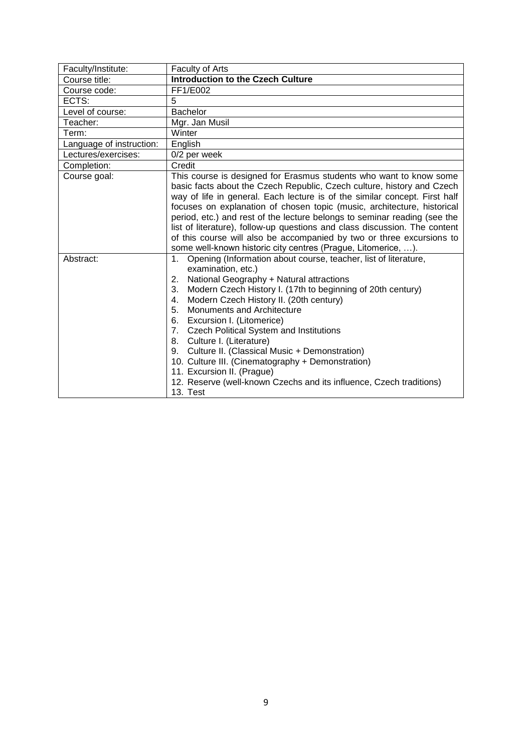<span id="page-8-0"></span>

| Faculty/Institute:       | Faculty of Arts                                                                                                                                                                                                                                                                                                                                                                                                                                                                                                                                                                                                                                                       |
|--------------------------|-----------------------------------------------------------------------------------------------------------------------------------------------------------------------------------------------------------------------------------------------------------------------------------------------------------------------------------------------------------------------------------------------------------------------------------------------------------------------------------------------------------------------------------------------------------------------------------------------------------------------------------------------------------------------|
| Course title:            | <b>Introduction to the Czech Culture</b>                                                                                                                                                                                                                                                                                                                                                                                                                                                                                                                                                                                                                              |
| Course code:             | FF1/E002                                                                                                                                                                                                                                                                                                                                                                                                                                                                                                                                                                                                                                                              |
| ECTS:                    | 5                                                                                                                                                                                                                                                                                                                                                                                                                                                                                                                                                                                                                                                                     |
| Level of course:         | <b>Bachelor</b>                                                                                                                                                                                                                                                                                                                                                                                                                                                                                                                                                                                                                                                       |
| Teacher:                 | Mgr. Jan Musil                                                                                                                                                                                                                                                                                                                                                                                                                                                                                                                                                                                                                                                        |
| Term:                    | Winter                                                                                                                                                                                                                                                                                                                                                                                                                                                                                                                                                                                                                                                                |
| Language of instruction: | English                                                                                                                                                                                                                                                                                                                                                                                                                                                                                                                                                                                                                                                               |
| Lectures/exercises:      | 0/2 per week                                                                                                                                                                                                                                                                                                                                                                                                                                                                                                                                                                                                                                                          |
| Completion:              | Credit                                                                                                                                                                                                                                                                                                                                                                                                                                                                                                                                                                                                                                                                |
| Course goal:             | This course is designed for Erasmus students who want to know some<br>basic facts about the Czech Republic, Czech culture, history and Czech<br>way of life in general. Each lecture is of the similar concept. First half<br>focuses on explanation of chosen topic (music, architecture, historical<br>period, etc.) and rest of the lecture belongs to seminar reading (see the<br>list of literature), follow-up questions and class discussion. The content<br>of this course will also be accompanied by two or three excursions to<br>some well-known historic city centres (Prague, Litomerice, ).                                                            |
| Abstract:                | Opening (Information about course, teacher, list of literature,<br>$1_{-}$<br>examination, etc.)<br>National Geography + Natural attractions<br>2.<br>Modern Czech History I. (17th to beginning of 20th century)<br>3.<br>Modern Czech History II. (20th century)<br>4.<br>Monuments and Architecture<br>5.<br>Excursion I. (Litomerice)<br>6.<br><b>Czech Political System and Institutions</b><br>7.<br>Culture I. (Literature)<br>8.<br>Culture II. (Classical Music + Demonstration)<br>9.<br>10. Culture III. (Cinematography + Demonstration)<br>11. Excursion II. (Prague)<br>12. Reserve (well-known Czechs and its influence, Czech traditions)<br>13. Test |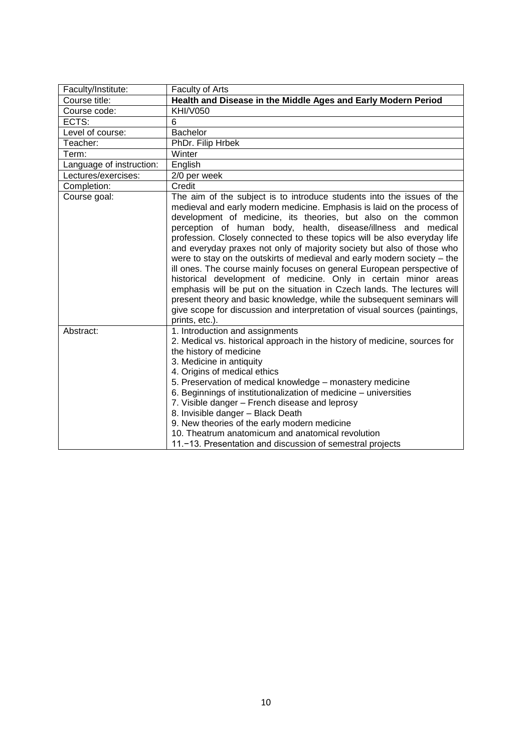<span id="page-9-0"></span>

| Faculty/Institute:       | Faculty of Arts                                                                                                                                                                                                                                                                                                                                                                                                                                                                                                                                                                                                                                                                                                                                                                                                                                                                                                        |
|--------------------------|------------------------------------------------------------------------------------------------------------------------------------------------------------------------------------------------------------------------------------------------------------------------------------------------------------------------------------------------------------------------------------------------------------------------------------------------------------------------------------------------------------------------------------------------------------------------------------------------------------------------------------------------------------------------------------------------------------------------------------------------------------------------------------------------------------------------------------------------------------------------------------------------------------------------|
| Course title:            | Health and Disease in the Middle Ages and Early Modern Period                                                                                                                                                                                                                                                                                                                                                                                                                                                                                                                                                                                                                                                                                                                                                                                                                                                          |
| Course code:             | <b>KHI/V050</b>                                                                                                                                                                                                                                                                                                                                                                                                                                                                                                                                                                                                                                                                                                                                                                                                                                                                                                        |
| ECTS:                    | 6                                                                                                                                                                                                                                                                                                                                                                                                                                                                                                                                                                                                                                                                                                                                                                                                                                                                                                                      |
| Level of course:         | <b>Bachelor</b>                                                                                                                                                                                                                                                                                                                                                                                                                                                                                                                                                                                                                                                                                                                                                                                                                                                                                                        |
| Teacher:                 | PhDr. Filip Hrbek                                                                                                                                                                                                                                                                                                                                                                                                                                                                                                                                                                                                                                                                                                                                                                                                                                                                                                      |
| Term:                    | Winter                                                                                                                                                                                                                                                                                                                                                                                                                                                                                                                                                                                                                                                                                                                                                                                                                                                                                                                 |
| Language of instruction: | English                                                                                                                                                                                                                                                                                                                                                                                                                                                                                                                                                                                                                                                                                                                                                                                                                                                                                                                |
| Lectures/exercises:      | 2/0 per week                                                                                                                                                                                                                                                                                                                                                                                                                                                                                                                                                                                                                                                                                                                                                                                                                                                                                                           |
| Completion:              | Credit                                                                                                                                                                                                                                                                                                                                                                                                                                                                                                                                                                                                                                                                                                                                                                                                                                                                                                                 |
| Course goal:             | The aim of the subject is to introduce students into the issues of the<br>medieval and early modern medicine. Emphasis is laid on the process of<br>development of medicine, its theories, but also on the common<br>perception of human body, health, disease/illness and medical<br>profession. Closely connected to these topics will be also everyday life<br>and everyday praxes not only of majority society but also of those who<br>were to stay on the outskirts of medieval and early modern society - the<br>ill ones. The course mainly focuses on general European perspective of<br>historical development of medicine. Only in certain minor areas<br>emphasis will be put on the situation in Czech lands. The lectures will<br>present theory and basic knowledge, while the subsequent seminars will<br>give scope for discussion and interpretation of visual sources (paintings,<br>prints, etc.). |
| Abstract:                | 1. Introduction and assignments<br>2. Medical vs. historical approach in the history of medicine, sources for<br>the history of medicine<br>3. Medicine in antiquity<br>4. Origins of medical ethics<br>5. Preservation of medical knowledge – monastery medicine<br>6. Beginnings of institutionalization of medicine - universities<br>7. Visible danger – French disease and leprosy<br>8. Invisible danger - Black Death<br>9. New theories of the early modern medicine<br>10. Theatrum anatomicum and anatomical revolution<br>11.-13. Presentation and discussion of semestral projects                                                                                                                                                                                                                                                                                                                         |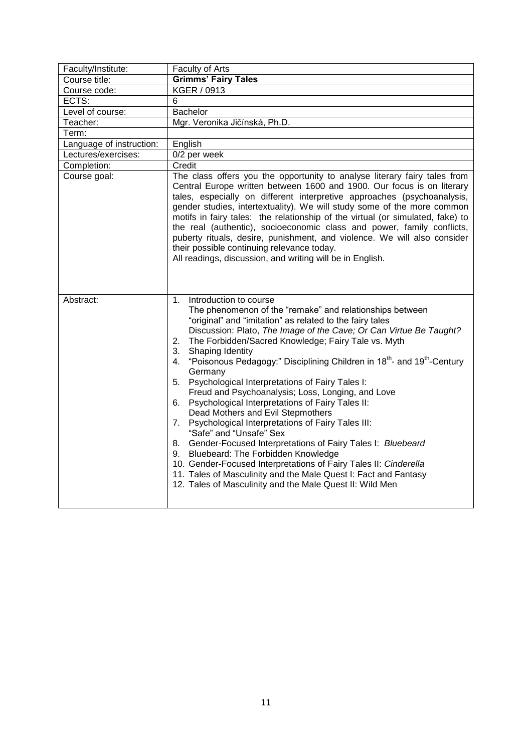<span id="page-10-0"></span>

| Faculty/Institute:       | Faculty of Arts                                                                                                                                                                                                                                                                                                                                                                                                                                                                                                                                                                                                                                                                                                                                                                                                                                                                                                                                                                                                                           |
|--------------------------|-------------------------------------------------------------------------------------------------------------------------------------------------------------------------------------------------------------------------------------------------------------------------------------------------------------------------------------------------------------------------------------------------------------------------------------------------------------------------------------------------------------------------------------------------------------------------------------------------------------------------------------------------------------------------------------------------------------------------------------------------------------------------------------------------------------------------------------------------------------------------------------------------------------------------------------------------------------------------------------------------------------------------------------------|
| Course title:            | <b>Grimms' Fairy Tales</b>                                                                                                                                                                                                                                                                                                                                                                                                                                                                                                                                                                                                                                                                                                                                                                                                                                                                                                                                                                                                                |
| Course code:             | <b>KGER / 0913</b>                                                                                                                                                                                                                                                                                                                                                                                                                                                                                                                                                                                                                                                                                                                                                                                                                                                                                                                                                                                                                        |
| ECTS:                    | 6                                                                                                                                                                                                                                                                                                                                                                                                                                                                                                                                                                                                                                                                                                                                                                                                                                                                                                                                                                                                                                         |
| Level of course:         | Bachelor                                                                                                                                                                                                                                                                                                                                                                                                                                                                                                                                                                                                                                                                                                                                                                                                                                                                                                                                                                                                                                  |
| Teacher:                 | Mgr. Veronika Jičínská, Ph.D.                                                                                                                                                                                                                                                                                                                                                                                                                                                                                                                                                                                                                                                                                                                                                                                                                                                                                                                                                                                                             |
| Term:                    |                                                                                                                                                                                                                                                                                                                                                                                                                                                                                                                                                                                                                                                                                                                                                                                                                                                                                                                                                                                                                                           |
| Language of instruction: | English                                                                                                                                                                                                                                                                                                                                                                                                                                                                                                                                                                                                                                                                                                                                                                                                                                                                                                                                                                                                                                   |
| Lectures/exercises:      | 0/2 per week                                                                                                                                                                                                                                                                                                                                                                                                                                                                                                                                                                                                                                                                                                                                                                                                                                                                                                                                                                                                                              |
| Completion:              | Credit                                                                                                                                                                                                                                                                                                                                                                                                                                                                                                                                                                                                                                                                                                                                                                                                                                                                                                                                                                                                                                    |
| Course goal:             | The class offers you the opportunity to analyse literary fairy tales from<br>Central Europe written between 1600 and 1900. Our focus is on literary<br>tales, especially on different interpretive approaches (psychoanalysis,<br>gender studies, intertextuality). We will study some of the more common<br>motifs in fairy tales: the relationship of the virtual (or simulated, fake) to<br>the real (authentic), socioeconomic class and power, family conflicts,<br>puberty rituals, desire, punishment, and violence. We will also consider<br>their possible continuing relevance today.<br>All readings, discussion, and writing will be in English.                                                                                                                                                                                                                                                                                                                                                                              |
| Abstract:                | 1. Introduction to course<br>The phenomenon of the "remake" and relationships between<br>"original" and "imitation" as related to the fairy tales<br>Discussion: Plato, The Image of the Cave; Or Can Virtue Be Taught?<br>The Forbidden/Sacred Knowledge; Fairy Tale vs. Myth<br>2.<br>3.<br>Shaping Identity<br>"Poisonous Pedagogy:" Disciplining Children in 18 <sup>th</sup> - and 19 <sup>th</sup> -Century<br>4.<br>Germany<br>5. Psychological Interpretations of Fairy Tales I:<br>Freud and Psychoanalysis; Loss, Longing, and Love<br>6. Psychological Interpretations of Fairy Tales II:<br>Dead Mothers and Evil Stepmothers<br>7. Psychological Interpretations of Fairy Tales III:<br>"Safe" and "Unsafe" Sex<br>8. Gender-Focused Interpretations of Fairy Tales I: Bluebeard<br>9. Bluebeard: The Forbidden Knowledge<br>10. Gender-Focused Interpretations of Fairy Tales II: Cinderella<br>11. Tales of Masculinity and the Male Quest I: Fact and Fantasy<br>12. Tales of Masculinity and the Male Quest II: Wild Men |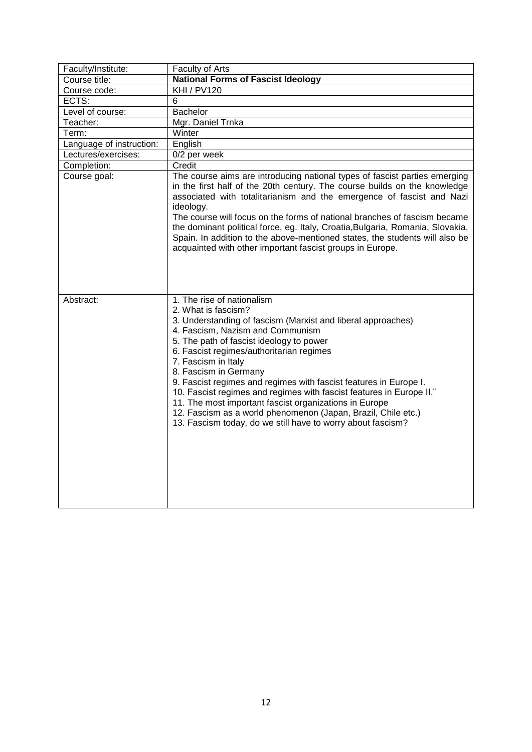<span id="page-11-0"></span>

| Faculty/Institute:       | Faculty of Arts                                                                                                                                                                                                                                                                                                                                                                                                                                                                                                                                                                                                                      |
|--------------------------|--------------------------------------------------------------------------------------------------------------------------------------------------------------------------------------------------------------------------------------------------------------------------------------------------------------------------------------------------------------------------------------------------------------------------------------------------------------------------------------------------------------------------------------------------------------------------------------------------------------------------------------|
| Course title:            | <b>National Forms of Fascist Ideology</b>                                                                                                                                                                                                                                                                                                                                                                                                                                                                                                                                                                                            |
| Course code:             | <b>KHI / PV120</b>                                                                                                                                                                                                                                                                                                                                                                                                                                                                                                                                                                                                                   |
| ECTS:                    | 6                                                                                                                                                                                                                                                                                                                                                                                                                                                                                                                                                                                                                                    |
| Level of course:         | <b>Bachelor</b>                                                                                                                                                                                                                                                                                                                                                                                                                                                                                                                                                                                                                      |
| Teacher:                 | Mgr. Daniel Trnka                                                                                                                                                                                                                                                                                                                                                                                                                                                                                                                                                                                                                    |
| Term:                    | Winter                                                                                                                                                                                                                                                                                                                                                                                                                                                                                                                                                                                                                               |
| Language of instruction: | English                                                                                                                                                                                                                                                                                                                                                                                                                                                                                                                                                                                                                              |
| Lectures/exercises:      | 0/2 per week                                                                                                                                                                                                                                                                                                                                                                                                                                                                                                                                                                                                                         |
| Completion:              | Credit                                                                                                                                                                                                                                                                                                                                                                                                                                                                                                                                                                                                                               |
| Course goal:             | The course aims are introducing national types of fascist parties emerging<br>in the first half of the 20th century. The course builds on the knowledge<br>associated with totalitarianism and the emergence of fascist and Nazi<br>ideology.<br>The course will focus on the forms of national branches of fascism became<br>the dominant political force, eg. Italy, Croatia, Bulgaria, Romania, Slovakia,<br>Spain. In addition to the above-mentioned states, the students will also be<br>acquainted with other important fascist groups in Europe.                                                                             |
| Abstract:                | 1. The rise of nationalism<br>2. What is fascism?<br>3. Understanding of fascism (Marxist and liberal approaches)<br>4. Fascism, Nazism and Communism<br>5. The path of fascist ideology to power<br>6. Fascist regimes/authoritarian regimes<br>7. Fascism in Italy<br>8. Fascism in Germany<br>9. Fascist regimes and regimes with fascist features in Europe I.<br>10. Fascist regimes and regimes with fascist features in Europe II."<br>11. The most important fascist organizations in Europe<br>12. Fascism as a world phenomenon (Japan, Brazil, Chile etc.)<br>13. Fascism today, do we still have to worry about fascism? |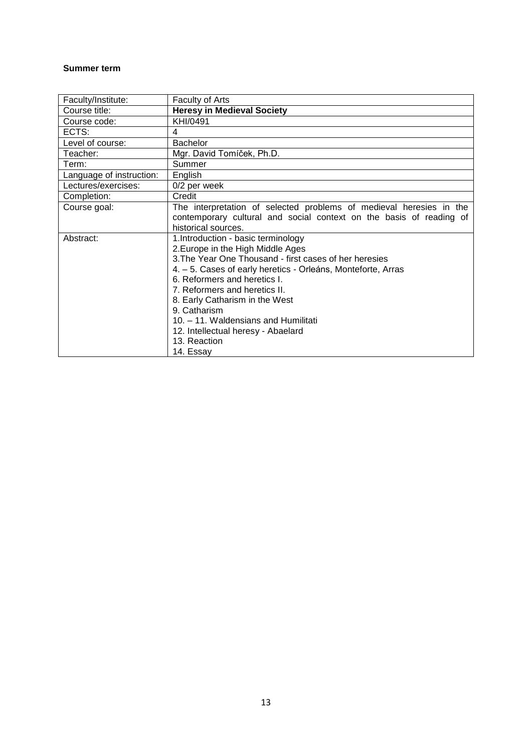## <span id="page-12-0"></span>**Summer term**

<span id="page-12-1"></span>

| Faculty/Institute:       | Faculty of Arts                                                                                                                                                                                                                                                                                                                                                                                                                  |
|--------------------------|----------------------------------------------------------------------------------------------------------------------------------------------------------------------------------------------------------------------------------------------------------------------------------------------------------------------------------------------------------------------------------------------------------------------------------|
| Course title:            | <b>Heresy in Medieval Society</b>                                                                                                                                                                                                                                                                                                                                                                                                |
| Course code:             | KHI/0491                                                                                                                                                                                                                                                                                                                                                                                                                         |
| ECTS:                    | 4                                                                                                                                                                                                                                                                                                                                                                                                                                |
| Level of course:         | <b>Bachelor</b>                                                                                                                                                                                                                                                                                                                                                                                                                  |
| Teacher:                 | Mgr. David Tomíček, Ph.D.                                                                                                                                                                                                                                                                                                                                                                                                        |
| Term:                    | Summer                                                                                                                                                                                                                                                                                                                                                                                                                           |
| Language of instruction: | English                                                                                                                                                                                                                                                                                                                                                                                                                          |
| Lectures/exercises:      | 0/2 per week                                                                                                                                                                                                                                                                                                                                                                                                                     |
| Completion:              | Credit                                                                                                                                                                                                                                                                                                                                                                                                                           |
| Course goal:             | The interpretation of selected problems of medieval heresies in the<br>contemporary cultural and social context on the basis of reading of<br>historical sources.                                                                                                                                                                                                                                                                |
| Abstract:                | 1. Introduction - basic terminology<br>2. Europe in the High Middle Ages<br>3. The Year One Thousand - first cases of her heresies<br>4. - 5. Cases of early heretics - Orleáns, Monteforte, Arras<br>6. Reformers and heretics I.<br>7. Reformers and heretics II.<br>8. Early Catharism in the West<br>9. Catharism<br>10. - 11. Waldensians and Humilitati<br>12. Intellectual heresy - Abaelard<br>13. Reaction<br>14. Essay |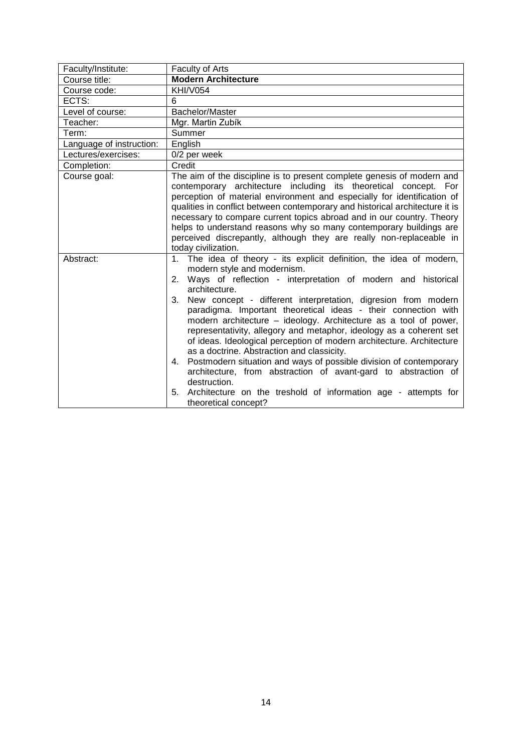<span id="page-13-0"></span>

| Faculty/Institute:       | Faculty of Arts                                                                                                                                                                                                                                                                                                                                                                                                                                                                                                                                                                                                                                                                                                                                                                                                                                                     |
|--------------------------|---------------------------------------------------------------------------------------------------------------------------------------------------------------------------------------------------------------------------------------------------------------------------------------------------------------------------------------------------------------------------------------------------------------------------------------------------------------------------------------------------------------------------------------------------------------------------------------------------------------------------------------------------------------------------------------------------------------------------------------------------------------------------------------------------------------------------------------------------------------------|
| Course title:            | <b>Modern Architecture</b>                                                                                                                                                                                                                                                                                                                                                                                                                                                                                                                                                                                                                                                                                                                                                                                                                                          |
| Course code:             | <b>KHI/V054</b>                                                                                                                                                                                                                                                                                                                                                                                                                                                                                                                                                                                                                                                                                                                                                                                                                                                     |
| ECTS:                    | 6                                                                                                                                                                                                                                                                                                                                                                                                                                                                                                                                                                                                                                                                                                                                                                                                                                                                   |
| Level of course:         | Bachelor/Master                                                                                                                                                                                                                                                                                                                                                                                                                                                                                                                                                                                                                                                                                                                                                                                                                                                     |
| Teacher:                 | Mgr. Martin Zubík                                                                                                                                                                                                                                                                                                                                                                                                                                                                                                                                                                                                                                                                                                                                                                                                                                                   |
| Term:                    | Summer                                                                                                                                                                                                                                                                                                                                                                                                                                                                                                                                                                                                                                                                                                                                                                                                                                                              |
| Language of instruction: | English                                                                                                                                                                                                                                                                                                                                                                                                                                                                                                                                                                                                                                                                                                                                                                                                                                                             |
| Lectures/exercises:      | 0/2 per week                                                                                                                                                                                                                                                                                                                                                                                                                                                                                                                                                                                                                                                                                                                                                                                                                                                        |
| Completion:              | Credit                                                                                                                                                                                                                                                                                                                                                                                                                                                                                                                                                                                                                                                                                                                                                                                                                                                              |
| Course goal:             | The aim of the discipline is to present complete genesis of modern and<br>contemporary architecture including its theoretical concept. For<br>perception of material environment and especially for identification of<br>qualities in conflict between contemporary and historical architecture it is<br>necessary to compare current topics abroad and in our country. Theory<br>helps to understand reasons why so many contemporary buildings are<br>perceived discrepantly, although they are really non-replaceable in<br>today civilization.                                                                                                                                                                                                                                                                                                                  |
| Abstract:                | 1. The idea of theory - its explicit definition, the idea of modern,<br>modern style and modernism.<br>Ways of reflection - interpretation of modern and historical<br>2.<br>architecture.<br>3.<br>New concept - different interpretation, digresion from modern<br>paradigma. Important theoretical ideas - their connection with<br>modern architecture - ideology. Architecture as a tool of power,<br>representativity, allegory and metaphor, ideology as a coherent set<br>of ideas. Ideological perception of modern architecture. Architecture<br>as a doctrine. Abstraction and classicity.<br>Postmodern situation and ways of possible division of contemporary<br>4.<br>architecture, from abstraction of avant-gard to abstraction of<br>destruction.<br>5.<br>Architecture on the treshold of information age - attempts for<br>theoretical concept? |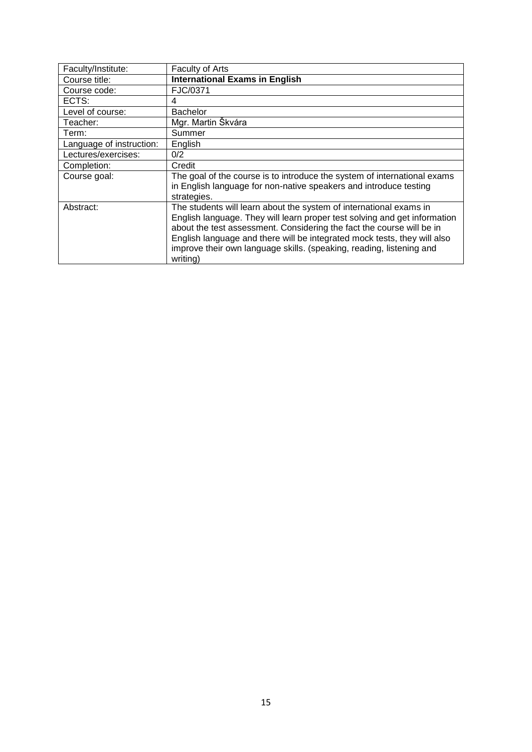<span id="page-14-0"></span>

| Faculty/Institute:       | Faculty of Arts                                                           |
|--------------------------|---------------------------------------------------------------------------|
| Course title:            | <b>International Exams in English</b>                                     |
| Course code:             | FJC/0371                                                                  |
| ECTS:                    | 4                                                                         |
| Level of course:         | <b>Bachelor</b>                                                           |
| Teacher:                 | Mgr. Martin Škvára                                                        |
| Term:                    | Summer                                                                    |
| Language of instruction: | English                                                                   |
| Lectures/exercises:      | 0/2                                                                       |
| Completion:              | Credit                                                                    |
| Course goal:             | The goal of the course is to introduce the system of international exams  |
|                          | in English language for non-native speakers and introduce testing         |
|                          | strategies.                                                               |
| Abstract:                | The students will learn about the system of international exams in        |
|                          | English language. They will learn proper test solving and get information |
|                          | about the test assessment. Considering the fact the course will be in     |
|                          | English language and there will be integrated mock tests, they will also  |
|                          | improve their own language skills. (speaking, reading, listening and      |
|                          | writing)                                                                  |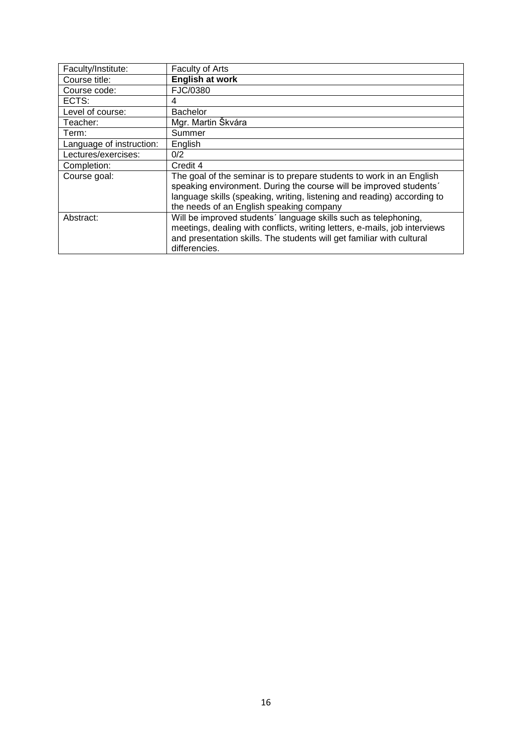<span id="page-15-0"></span>

| Faculty/Institute:       | Faculty of Arts                                                                                                                                                                                                                                                   |
|--------------------------|-------------------------------------------------------------------------------------------------------------------------------------------------------------------------------------------------------------------------------------------------------------------|
| Course title:            | <b>English at work</b>                                                                                                                                                                                                                                            |
| Course code:             | FJC/0380                                                                                                                                                                                                                                                          |
| ECTS:                    | 4                                                                                                                                                                                                                                                                 |
| Level of course:         | <b>Bachelor</b>                                                                                                                                                                                                                                                   |
| Teacher:                 | Mgr. Martin Škvára                                                                                                                                                                                                                                                |
| Term:                    | Summer                                                                                                                                                                                                                                                            |
| Language of instruction: | English                                                                                                                                                                                                                                                           |
| Lectures/exercises:      | 0/2                                                                                                                                                                                                                                                               |
| Completion:              | Credit 4                                                                                                                                                                                                                                                          |
| Course goal:             | The goal of the seminar is to prepare students to work in an English<br>speaking environment. During the course will be improved students'<br>language skills (speaking, writing, listening and reading) according to<br>the needs of an English speaking company |
| Abstract:                | Will be improved students' language skills such as telephoning,<br>meetings, dealing with conflicts, writing letters, e-mails, job interviews<br>and presentation skills. The students will get familiar with cultural<br>differencies.                           |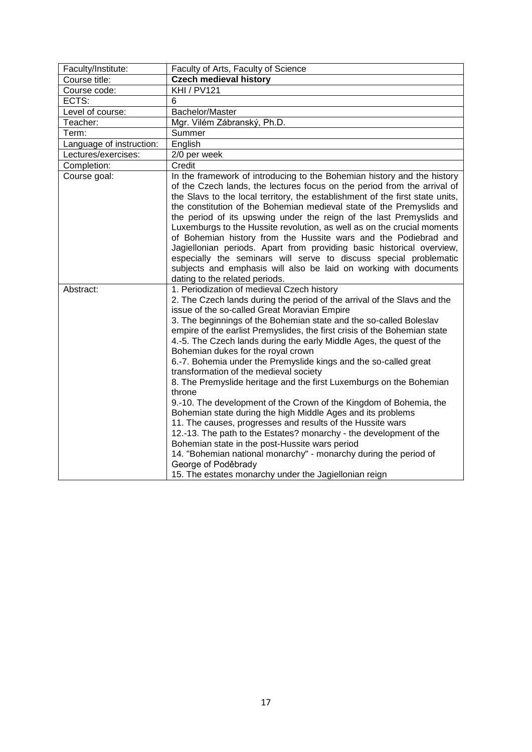<span id="page-16-0"></span>

| Faculty/Institute:       | Faculty of Arts, Faculty of Science                                                                                                                                                                                                                                                                                                                                                                                                                                                                                                                                                                                                                                                                                                                                                                                                                                                                                                                                                                                                                                                                                   |
|--------------------------|-----------------------------------------------------------------------------------------------------------------------------------------------------------------------------------------------------------------------------------------------------------------------------------------------------------------------------------------------------------------------------------------------------------------------------------------------------------------------------------------------------------------------------------------------------------------------------------------------------------------------------------------------------------------------------------------------------------------------------------------------------------------------------------------------------------------------------------------------------------------------------------------------------------------------------------------------------------------------------------------------------------------------------------------------------------------------------------------------------------------------|
| Course title:            | <b>Czech medieval history</b>                                                                                                                                                                                                                                                                                                                                                                                                                                                                                                                                                                                                                                                                                                                                                                                                                                                                                                                                                                                                                                                                                         |
| Course code:             | <b>KHI / PV121</b>                                                                                                                                                                                                                                                                                                                                                                                                                                                                                                                                                                                                                                                                                                                                                                                                                                                                                                                                                                                                                                                                                                    |
| ECTS:                    | 6                                                                                                                                                                                                                                                                                                                                                                                                                                                                                                                                                                                                                                                                                                                                                                                                                                                                                                                                                                                                                                                                                                                     |
| Level of course:         | Bachelor/Master                                                                                                                                                                                                                                                                                                                                                                                                                                                                                                                                                                                                                                                                                                                                                                                                                                                                                                                                                                                                                                                                                                       |
| Teacher:                 | Mgr. Vilém Zábranský, Ph.D.                                                                                                                                                                                                                                                                                                                                                                                                                                                                                                                                                                                                                                                                                                                                                                                                                                                                                                                                                                                                                                                                                           |
| Term:                    | Summer                                                                                                                                                                                                                                                                                                                                                                                                                                                                                                                                                                                                                                                                                                                                                                                                                                                                                                                                                                                                                                                                                                                |
| Language of instruction: | English                                                                                                                                                                                                                                                                                                                                                                                                                                                                                                                                                                                                                                                                                                                                                                                                                                                                                                                                                                                                                                                                                                               |
| Lectures/exercises:      | 2/0 per week                                                                                                                                                                                                                                                                                                                                                                                                                                                                                                                                                                                                                                                                                                                                                                                                                                                                                                                                                                                                                                                                                                          |
| Completion:              | Credit                                                                                                                                                                                                                                                                                                                                                                                                                                                                                                                                                                                                                                                                                                                                                                                                                                                                                                                                                                                                                                                                                                                |
| Course goal:             | In the framework of introducing to the Bohemian history and the history<br>of the Czech lands, the lectures focus on the period from the arrival of<br>the Slavs to the local territory, the establishment of the first state units,<br>the constitution of the Bohemian medieval state of the Premyslids and<br>the period of its upswing under the reign of the last Premyslids and<br>Luxemburgs to the Hussite revolution, as well as on the crucial moments<br>of Bohemian history from the Hussite wars and the Podiebrad and<br>Jagiellonian periods. Apart from providing basic historical overview,<br>especially the seminars will serve to discuss special problematic<br>subjects and emphasis will also be laid on working with documents<br>dating to the related periods.                                                                                                                                                                                                                                                                                                                              |
| Abstract:                | 1. Periodization of medieval Czech history<br>2. The Czech lands during the period of the arrival of the Slavs and the<br>issue of the so-called Great Moravian Empire<br>3. The beginnings of the Bohemian state and the so-called Boleslav<br>empire of the earlist Premyslides, the first crisis of the Bohemian state<br>4.-5. The Czech lands during the early Middle Ages, the quest of the<br>Bohemian dukes for the royal crown<br>6.-7. Bohemia under the Premyslide kings and the so-called great<br>transformation of the medieval society<br>8. The Premyslide heritage and the first Luxemburgs on the Bohemian<br>throne<br>9.-10. The development of the Crown of the Kingdom of Bohemia, the<br>Bohemian state during the high Middle Ages and its problems<br>11. The causes, progresses and results of the Hussite wars<br>12.-13. The path to the Estates? monarchy - the development of the<br>Bohemian state in the post-Hussite wars period<br>14. "Bohemian national monarchy" - monarchy during the period of<br>George of Poděbrady<br>15. The estates monarchy under the Jagiellonian reign |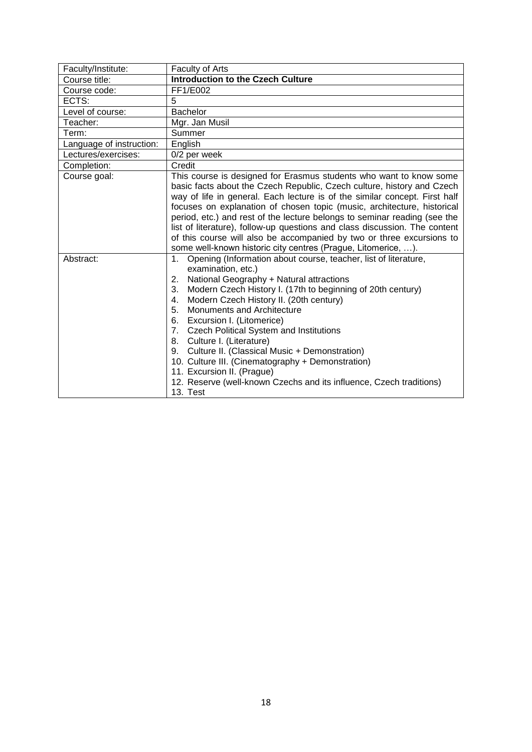<span id="page-17-0"></span>

| Faculty/Institute:       | Faculty of Arts                                                                                                                                                                                                                                                                                                                                                                                                                                                                                                                                                                                                                                                                     |
|--------------------------|-------------------------------------------------------------------------------------------------------------------------------------------------------------------------------------------------------------------------------------------------------------------------------------------------------------------------------------------------------------------------------------------------------------------------------------------------------------------------------------------------------------------------------------------------------------------------------------------------------------------------------------------------------------------------------------|
| Course title:            | <b>Introduction to the Czech Culture</b>                                                                                                                                                                                                                                                                                                                                                                                                                                                                                                                                                                                                                                            |
| Course code:             | FF1/E002                                                                                                                                                                                                                                                                                                                                                                                                                                                                                                                                                                                                                                                                            |
| ECTS:                    | 5                                                                                                                                                                                                                                                                                                                                                                                                                                                                                                                                                                                                                                                                                   |
| Level of course:         | <b>Bachelor</b>                                                                                                                                                                                                                                                                                                                                                                                                                                                                                                                                                                                                                                                                     |
| Teacher:                 | Mgr. Jan Musil                                                                                                                                                                                                                                                                                                                                                                                                                                                                                                                                                                                                                                                                      |
| Term:                    | Summer                                                                                                                                                                                                                                                                                                                                                                                                                                                                                                                                                                                                                                                                              |
| Language of instruction: | English                                                                                                                                                                                                                                                                                                                                                                                                                                                                                                                                                                                                                                                                             |
| Lectures/exercises:      | 0/2 per week                                                                                                                                                                                                                                                                                                                                                                                                                                                                                                                                                                                                                                                                        |
| Completion:              | Credit                                                                                                                                                                                                                                                                                                                                                                                                                                                                                                                                                                                                                                                                              |
| Course goal:             | This course is designed for Erasmus students who want to know some<br>basic facts about the Czech Republic, Czech culture, history and Czech<br>way of life in general. Each lecture is of the similar concept. First half<br>focuses on explanation of chosen topic (music, architecture, historical<br>period, etc.) and rest of the lecture belongs to seminar reading (see the<br>list of literature), follow-up questions and class discussion. The content<br>of this course will also be accompanied by two or three excursions to<br>some well-known historic city centres (Prague, Litomerice, ).                                                                          |
| Abstract:                | Opening (Information about course, teacher, list of literature,<br>1 <sup>1</sup><br>examination, etc.)<br>National Geography + Natural attractions<br>2.<br>Modern Czech History I. (17th to beginning of 20th century)<br>3.<br>Modern Czech History II. (20th century)<br>4.<br><b>Monuments and Architecture</b><br>5.<br>Excursion I. (Litomerice)<br>6.<br><b>Czech Political System and Institutions</b><br>7.<br>8.<br>Culture I. (Literature)<br>Culture II. (Classical Music + Demonstration)<br>9.<br>10. Culture III. (Cinematography + Demonstration)<br>11. Excursion II. (Prague)<br>12. Reserve (well-known Czechs and its influence, Czech traditions)<br>13. Test |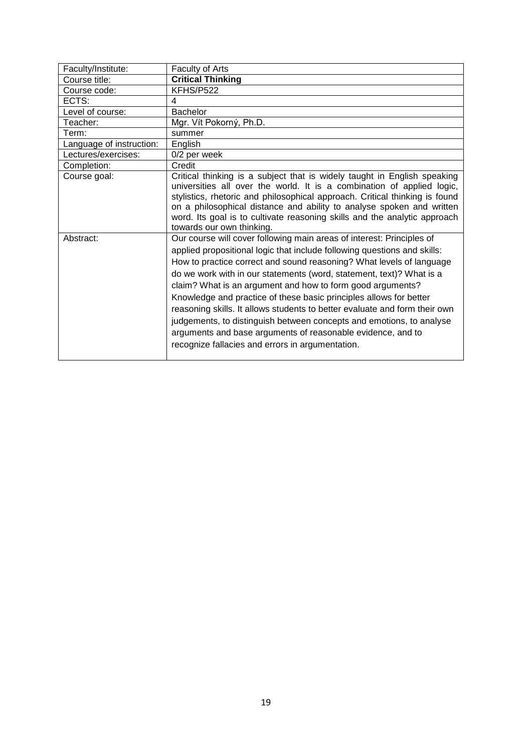<span id="page-18-0"></span>

| Faculty/Institute:       | Faculty of Arts                                                                                                                                                                                                                                                                                                                                                                                                                                                                                                                                                                                                                                                                                                |
|--------------------------|----------------------------------------------------------------------------------------------------------------------------------------------------------------------------------------------------------------------------------------------------------------------------------------------------------------------------------------------------------------------------------------------------------------------------------------------------------------------------------------------------------------------------------------------------------------------------------------------------------------------------------------------------------------------------------------------------------------|
| Course title:            | <b>Critical Thinking</b>                                                                                                                                                                                                                                                                                                                                                                                                                                                                                                                                                                                                                                                                                       |
| Course code:             | KFHS/P522                                                                                                                                                                                                                                                                                                                                                                                                                                                                                                                                                                                                                                                                                                      |
| ECTS:                    | 4                                                                                                                                                                                                                                                                                                                                                                                                                                                                                                                                                                                                                                                                                                              |
| Level of course:         | <b>Bachelor</b>                                                                                                                                                                                                                                                                                                                                                                                                                                                                                                                                                                                                                                                                                                |
| Teacher:                 | Mgr. Vít Pokorný, Ph.D.                                                                                                                                                                                                                                                                                                                                                                                                                                                                                                                                                                                                                                                                                        |
| Term:                    | summer                                                                                                                                                                                                                                                                                                                                                                                                                                                                                                                                                                                                                                                                                                         |
| Language of instruction: | English                                                                                                                                                                                                                                                                                                                                                                                                                                                                                                                                                                                                                                                                                                        |
| Lectures/exercises:      | 0/2 per week                                                                                                                                                                                                                                                                                                                                                                                                                                                                                                                                                                                                                                                                                                   |
| Completion:              | Credit                                                                                                                                                                                                                                                                                                                                                                                                                                                                                                                                                                                                                                                                                                         |
| Course goal:             | Critical thinking is a subject that is widely taught in English speaking<br>universities all over the world. It is a combination of applied logic,<br>stylistics, rhetoric and philosophical approach. Critical thinking is found<br>on a philosophical distance and ability to analyse spoken and written<br>word. Its goal is to cultivate reasoning skills and the analytic approach<br>towards our own thinking.                                                                                                                                                                                                                                                                                           |
| Abstract:                | Our course will cover following main areas of interest: Principles of<br>applied propositional logic that include following questions and skills:<br>How to practice correct and sound reasoning? What levels of language<br>do we work with in our statements (word, statement, text)? What is a<br>claim? What is an argument and how to form good arguments?<br>Knowledge and practice of these basic principles allows for better<br>reasoning skills. It allows students to better evaluate and form their own<br>judgements, to distinguish between concepts and emotions, to analyse<br>arguments and base arguments of reasonable evidence, and to<br>recognize fallacies and errors in argumentation. |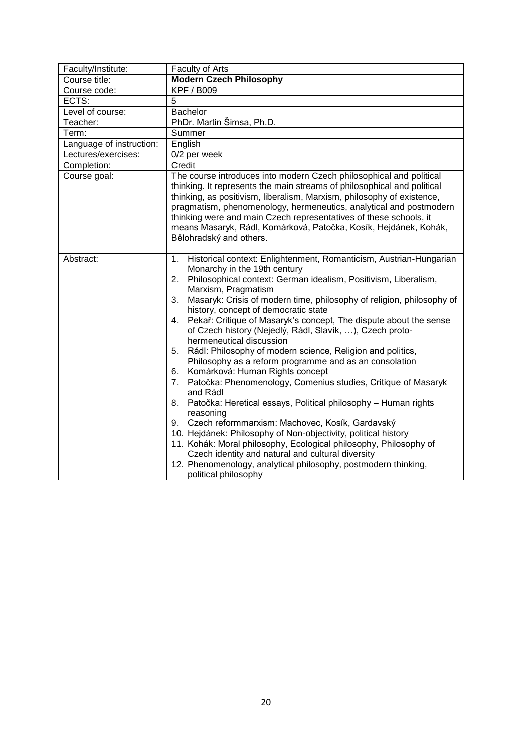<span id="page-19-0"></span>

| Faculty/Institute:       | Faculty of Arts                                                                                                                                                                                                                                                                                                                                                                                                                                                                                                                                                                                                                                                                                                                                                                                                                                                                                                                                                                                                                                                                                                                                                                               |
|--------------------------|-----------------------------------------------------------------------------------------------------------------------------------------------------------------------------------------------------------------------------------------------------------------------------------------------------------------------------------------------------------------------------------------------------------------------------------------------------------------------------------------------------------------------------------------------------------------------------------------------------------------------------------------------------------------------------------------------------------------------------------------------------------------------------------------------------------------------------------------------------------------------------------------------------------------------------------------------------------------------------------------------------------------------------------------------------------------------------------------------------------------------------------------------------------------------------------------------|
| Course title:            | <b>Modern Czech Philosophy</b>                                                                                                                                                                                                                                                                                                                                                                                                                                                                                                                                                                                                                                                                                                                                                                                                                                                                                                                                                                                                                                                                                                                                                                |
| Course code:             | <b>KPF / B009</b>                                                                                                                                                                                                                                                                                                                                                                                                                                                                                                                                                                                                                                                                                                                                                                                                                                                                                                                                                                                                                                                                                                                                                                             |
| ECTS:                    | 5                                                                                                                                                                                                                                                                                                                                                                                                                                                                                                                                                                                                                                                                                                                                                                                                                                                                                                                                                                                                                                                                                                                                                                                             |
| Level of course:         | <b>Bachelor</b>                                                                                                                                                                                                                                                                                                                                                                                                                                                                                                                                                                                                                                                                                                                                                                                                                                                                                                                                                                                                                                                                                                                                                                               |
| Teacher:                 | PhDr. Martin Šimsa, Ph.D.                                                                                                                                                                                                                                                                                                                                                                                                                                                                                                                                                                                                                                                                                                                                                                                                                                                                                                                                                                                                                                                                                                                                                                     |
| Term:                    | Summer                                                                                                                                                                                                                                                                                                                                                                                                                                                                                                                                                                                                                                                                                                                                                                                                                                                                                                                                                                                                                                                                                                                                                                                        |
| Language of instruction: | English                                                                                                                                                                                                                                                                                                                                                                                                                                                                                                                                                                                                                                                                                                                                                                                                                                                                                                                                                                                                                                                                                                                                                                                       |
| Lectures/exercises:      | 0/2 per week                                                                                                                                                                                                                                                                                                                                                                                                                                                                                                                                                                                                                                                                                                                                                                                                                                                                                                                                                                                                                                                                                                                                                                                  |
| Completion:              | Credit                                                                                                                                                                                                                                                                                                                                                                                                                                                                                                                                                                                                                                                                                                                                                                                                                                                                                                                                                                                                                                                                                                                                                                                        |
| Course goal:             | The course introduces into modern Czech philosophical and political<br>thinking. It represents the main streams of philosophical and political<br>thinking, as positivism, liberalism, Marxism, philosophy of existence,<br>pragmatism, phenomenology, hermeneutics, analytical and postmodern<br>thinking were and main Czech representatives of these schools, it<br>means Masaryk, Rádl, Komárková, Patočka, Kosík, Hejdánek, Kohák,<br>Bělohradský and others.                                                                                                                                                                                                                                                                                                                                                                                                                                                                                                                                                                                                                                                                                                                            |
| Abstract:                | 1.<br>Historical context: Enlightenment, Romanticism, Austrian-Hungarian<br>Monarchy in the 19th century<br>Philosophical context: German idealism, Positivism, Liberalism,<br>2.<br>Marxism, Pragmatism<br>Masaryk: Crisis of modern time, philosophy of religion, philosophy of<br>3.<br>history, concept of democratic state<br>Pekař: Critique of Masaryk's concept, The dispute about the sense<br>4.<br>of Czech history (Nejedlý, Rádl, Slavík, ), Czech proto-<br>hermeneutical discussion<br>Rádl: Philosophy of modern science, Religion and politics,<br>5.<br>Philosophy as a reform programme and as an consolation<br>Komárková: Human Rights concept<br>6.<br>Patočka: Phenomenology, Comenius studies, Critique of Masaryk<br>7.<br>and Rádl<br>Patočka: Heretical essays, Political philosophy - Human rights<br>8.<br>reasoning<br>9. Czech reformmarxism: Machovec, Kosík, Gardavský<br>10. Hejdánek: Philosophy of Non-objectivity, political history<br>11. Kohák: Moral philosophy, Ecological philosophy, Philosophy of<br>Czech identity and natural and cultural diversity<br>12. Phenomenology, analytical philosophy, postmodern thinking,<br>political philosophy |